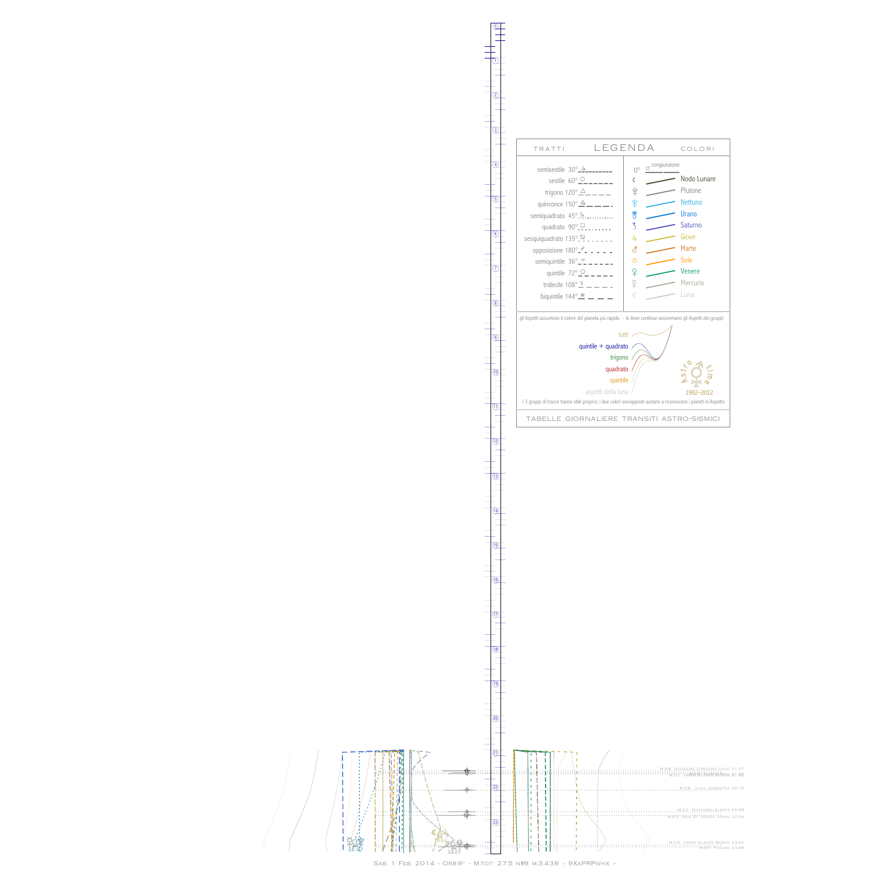